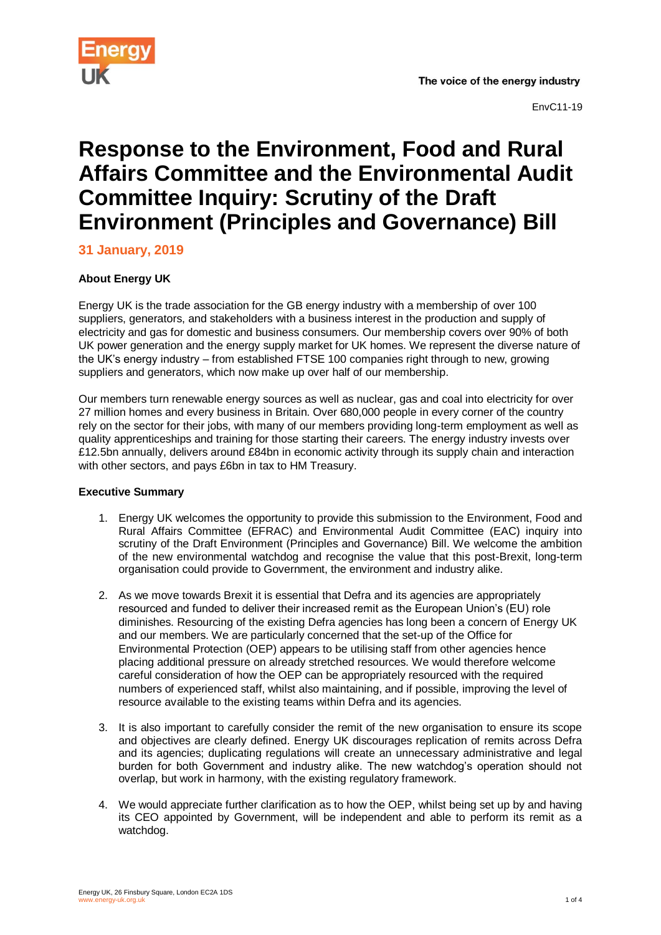

# **Response to the Environment, Food and Rural Affairs Committee and the Environmental Audit Committee Inquiry: Scrutiny of the Draft Environment (Principles and Governance) Bill**

**31 January, 2019**

## **About Energy UK**

Energy UK is the trade association for the GB energy industry with a membership of over 100 suppliers, generators, and stakeholders with a business interest in the production and supply of electricity and gas for domestic and business consumers. Our membership covers over 90% of both UK power generation and the energy supply market for UK homes. We represent the diverse nature of the UK's energy industry – from established FTSE 100 companies right through to new, growing suppliers and generators, which now make up over half of our membership.

Our members turn renewable energy sources as well as nuclear, gas and coal into electricity for over 27 million homes and every business in Britain. Over 680,000 people in every corner of the country rely on the sector for their jobs, with many of our members providing long-term employment as well as quality apprenticeships and training for those starting their careers. The energy industry invests over £12.5bn annually, delivers around £84bn in economic activity through its supply chain and interaction with other sectors, and pays £6bn in tax to HM Treasury.

## **Executive Summary**

- 1. Energy UK welcomes the opportunity to provide this submission to the Environment, Food and Rural Affairs Committee (EFRAC) and Environmental Audit Committee (EAC) inquiry into scrutiny of the Draft Environment (Principles and Governance) Bill. We welcome the ambition of the new environmental watchdog and recognise the value that this post-Brexit, long-term organisation could provide to Government, the environment and industry alike.
- 2. As we move towards Brexit it is essential that Defra and its agencies are appropriately resourced and funded to deliver their increased remit as the European Union's (EU) role diminishes. Resourcing of the existing Defra agencies has long been a concern of Energy UK and our members. We are particularly concerned that the set-up of the Office for Environmental Protection (OEP) appears to be utilising staff from other agencies hence placing additional pressure on already stretched resources. We would therefore welcome careful consideration of how the OEP can be appropriately resourced with the required numbers of experienced staff, whilst also maintaining, and if possible, improving the level of resource available to the existing teams within Defra and its agencies.
- 3. It is also important to carefully consider the remit of the new organisation to ensure its scope and objectives are clearly defined. Energy UK discourages replication of remits across Defra and its agencies; duplicating regulations will create an unnecessary administrative and legal burden for both Government and industry alike. The new watchdog's operation should not overlap, but work in harmony, with the existing regulatory framework.
- 4. We would appreciate further clarification as to how the OEP, whilst being set up by and having its CEO appointed by Government, will be independent and able to perform its remit as a watchdog.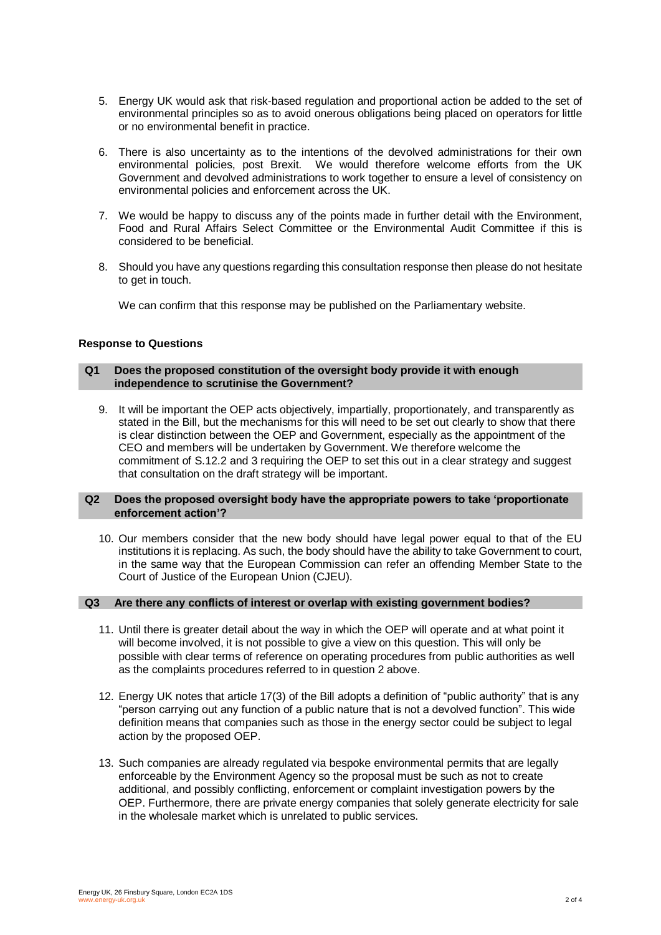- 5. Energy UK would ask that risk-based regulation and proportional action be added to the set of environmental principles so as to avoid onerous obligations being placed on operators for little or no environmental benefit in practice.
- 6. There is also uncertainty as to the intentions of the devolved administrations for their own environmental policies, post Brexit. We would therefore welcome efforts from the UK Government and devolved administrations to work together to ensure a level of consistency on environmental policies and enforcement across the UK.
- 7. We would be happy to discuss any of the points made in further detail with the Environment, Food and Rural Affairs Select Committee or the Environmental Audit Committee if this is considered to be beneficial.
- 8. Should you have any questions regarding this consultation response then please do not hesitate to get in touch.

We can confirm that this response may be published on the Parliamentary website.

### **Response to Questions**

#### **Q1 Does the proposed constitution of the oversight body provide it with enough independence to scrutinise the Government?**

9. It will be important the OEP acts objectively, impartially, proportionately, and transparently as stated in the Bill, but the mechanisms for this will need to be set out clearly to show that there is clear distinction between the OEP and Government, especially as the appointment of the CEO and members will be undertaken by Government. We therefore welcome the commitment of S.12.2 and 3 requiring the OEP to set this out in a clear strategy and suggest that consultation on the draft strategy will be important.

#### **Q2 Does the proposed oversight body have the appropriate powers to take 'proportionate enforcement action'?**

10. Our members consider that the new body should have legal power equal to that of the EU institutions it is replacing. As such, the body should have the ability to take Government to court, in the same way that the European Commission can refer an offending Member State to the Court of Justice of the European Union (CJEU).

#### **Q3 Are there any conflicts of interest or overlap with existing government bodies?**

- 11. Until there is greater detail about the way in which the OEP will operate and at what point it will become involved, it is not possible to give a view on this question. This will only be possible with clear terms of reference on operating procedures from public authorities as well as the complaints procedures referred to in question 2 above.
- 12. Energy UK notes that article 17(3) of the Bill adopts a definition of "public authority" that is any "person carrying out any function of a public nature that is not a devolved function". This wide definition means that companies such as those in the energy sector could be subject to legal action by the proposed OEP.
- 13. Such companies are already regulated via bespoke environmental permits that are legally enforceable by the Environment Agency so the proposal must be such as not to create additional, and possibly conflicting, enforcement or complaint investigation powers by the OEP. Furthermore, there are private energy companies that solely generate electricity for sale in the wholesale market which is unrelated to public services.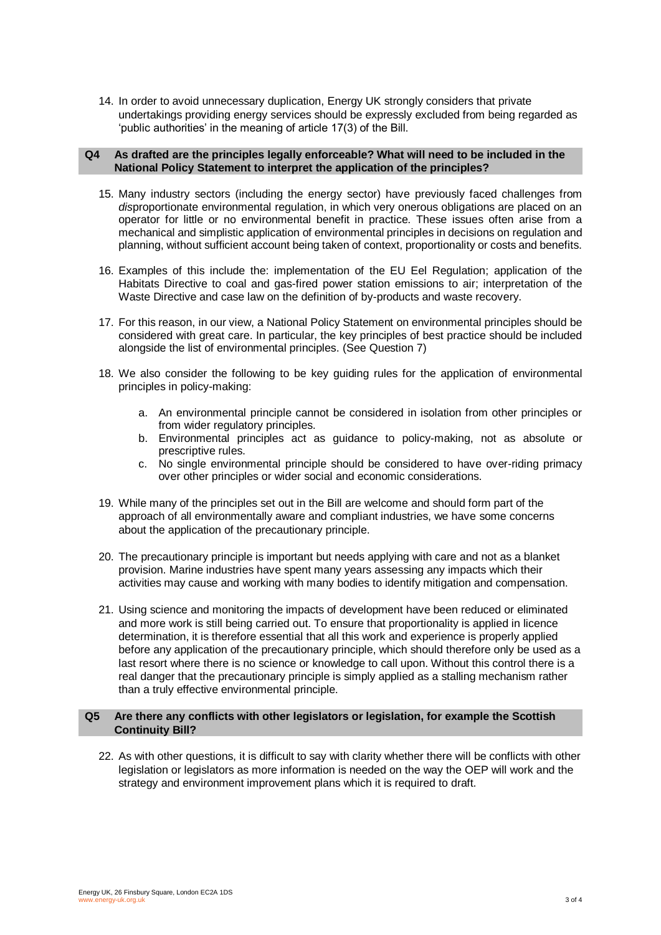14. In order to avoid unnecessary duplication, Energy UK strongly considers that private undertakings providing energy services should be expressly excluded from being regarded as 'public authorities' in the meaning of article 17(3) of the Bill.

#### **Q4 As drafted are the principles legally enforceable? What will need to be included in the National Policy Statement to interpret the application of the principles?**

- 15. Many industry sectors (including the energy sector) have previously faced challenges from *dis*proportionate environmental regulation, in which very onerous obligations are placed on an operator for little or no environmental benefit in practice. These issues often arise from a mechanical and simplistic application of environmental principles in decisions on regulation and planning, without sufficient account being taken of context, proportionality or costs and benefits.
- 16. Examples of this include the: implementation of the EU Eel Regulation; application of the Habitats Directive to coal and gas-fired power station emissions to air; interpretation of the Waste Directive and case law on the definition of by-products and waste recovery.
- 17. For this reason, in our view, a National Policy Statement on environmental principles should be considered with great care. In particular, the key principles of best practice should be included alongside the list of environmental principles. (See Question 7)
- 18. We also consider the following to be key guiding rules for the application of environmental principles in policy-making:
	- a. An environmental principle cannot be considered in isolation from other principles or from wider regulatory principles.
	- b. Environmental principles act as guidance to policy-making, not as absolute or prescriptive rules.
	- c. No single environmental principle should be considered to have over-riding primacy over other principles or wider social and economic considerations.
- 19. While many of the principles set out in the Bill are welcome and should form part of the approach of all environmentally aware and compliant industries, we have some concerns about the application of the precautionary principle.
- 20. The precautionary principle is important but needs applying with care and not as a blanket provision. Marine industries have spent many years assessing any impacts which their activities may cause and working with many bodies to identify mitigation and compensation.
- 21. Using science and monitoring the impacts of development have been reduced or eliminated and more work is still being carried out. To ensure that proportionality is applied in licence determination, it is therefore essential that all this work and experience is properly applied before any application of the precautionary principle, which should therefore only be used as a last resort where there is no science or knowledge to call upon. Without this control there is a real danger that the precautionary principle is simply applied as a stalling mechanism rather than a truly effective environmental principle.

#### **Q5 Are there any conflicts with other legislators or legislation, for example the Scottish Continuity Bill?**

22. As with other questions, it is difficult to say with clarity whether there will be conflicts with other legislation or legislators as more information is needed on the way the OEP will work and the strategy and environment improvement plans which it is required to draft.